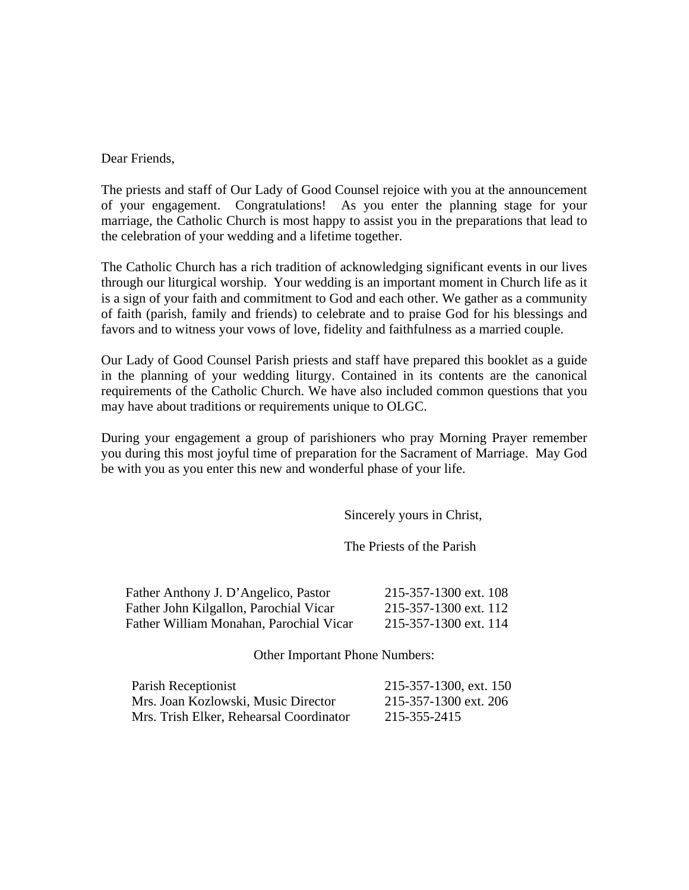#### Dear Friends,

The priests and staff of Our Lady of Good Counsel rejoice with you at the announcement of your engagement. Congratulations! As you enter the planning stage for your marriage, the Catholic Church is most happy to assist you in the preparations that lead to the celebration of your wedding and a lifetime together.

The Catholic Church has a rich tradition of acknowledging significant events in our lives through our liturgical worship. Your wedding is an important moment in Church life as it is a sign of your faith and commitment to God and each other. We gather as a community of faith (parish, family and friends) to celebrate and to praise God for his blessings and favors and to witness your vows of love, fidelity and faithfulness as a married couple.

Our Lady of Good Counsel Parish priests and staff have prepared this booklet as a guide in the planning of your wedding liturgy. Contained in its contents are the canonical requirements of the Catholic Church. We have also included common questions that you may have about traditions or requirements unique to OLGC.

During your engagement a group of parishioners who pray Morning Prayer remember you during this most joyful time of preparation for the Sacrament of Marriage. May God be with you as you enter this new and wonderful phase of your life.

Sincerely yours in Christ,

The Priests of the Parish

| Father Anthony J. D'Angelico, Pastor    | 215-357-1300 ext. 108 |
|-----------------------------------------|-----------------------|
| Father John Kilgallon, Parochial Vicar  | 215-357-1300 ext. 112 |
| Father William Monahan, Parochial Vicar | 215-357-1300 ext. 114 |

Other Important Phone Numbers:

| Parish Receptionist                     | 215-357-1300, ext. 150 |
|-----------------------------------------|------------------------|
| Mrs. Joan Kozlowski, Music Director     | 215-357-1300 ext. 206  |
| Mrs. Trish Elker, Rehearsal Coordinator | 215-355-2415           |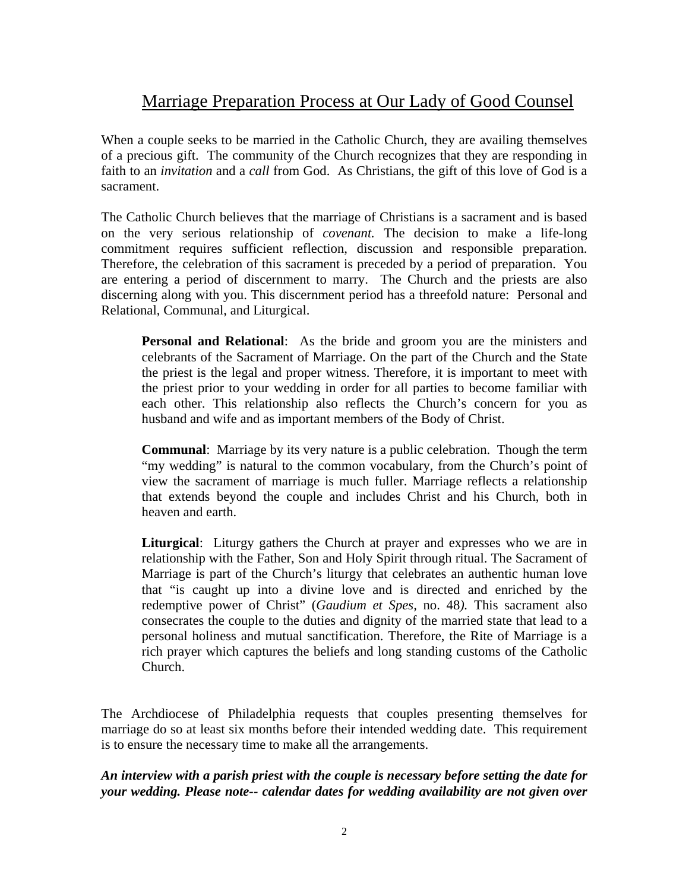# Marriage Preparation Process at Our Lady of Good Counsel

When a couple seeks to be married in the Catholic Church, they are availing themselves of a precious gift. The community of the Church recognizes that they are responding in faith to an *invitation* and a *call* from God. As Christians, the gift of this love of God is a sacrament.

The Catholic Church believes that the marriage of Christians is a sacrament and is based on the very serious relationship of *covenant.* The decision to make a life-long commitment requires sufficient reflection, discussion and responsible preparation. Therefore, the celebration of this sacrament is preceded by a period of preparation. You are entering a period of discernment to marry. The Church and the priests are also discerning along with you. This discernment period has a threefold nature: Personal and Relational, Communal, and Liturgical.

**Personal and Relational**: As the bride and groom you are the ministers and celebrants of the Sacrament of Marriage. On the part of the Church and the State the priest is the legal and proper witness. Therefore, it is important to meet with the priest prior to your wedding in order for all parties to become familiar with each other. This relationship also reflects the Church's concern for you as husband and wife and as important members of the Body of Christ.

**Communal**: Marriage by its very nature is a public celebration. Though the term "my wedding" is natural to the common vocabulary, from the Church's point of view the sacrament of marriage is much fuller. Marriage reflects a relationship that extends beyond the couple and includes Christ and his Church, both in heaven and earth.

**Liturgical**: Liturgy gathers the Church at prayer and expresses who we are in relationship with the Father, Son and Holy Spirit through ritual. The Sacrament of Marriage is part of the Church's liturgy that celebrates an authentic human love that "is caught up into a divine love and is directed and enriched by the redemptive power of Christ" (*Gaudium et Spes,* no. 48*).* This sacrament also consecrates the couple to the duties and dignity of the married state that lead to a personal holiness and mutual sanctification. Therefore, the Rite of Marriage is a rich prayer which captures the beliefs and long standing customs of the Catholic Church.

The Archdiocese of Philadelphia requests that couples presenting themselves for marriage do so at least six months before their intended wedding date. This requirement is to ensure the necessary time to make all the arrangements.

*An interview with a parish priest with the couple is necessary before setting the date for your wedding. Please note-- calendar dates for wedding availability are not given over*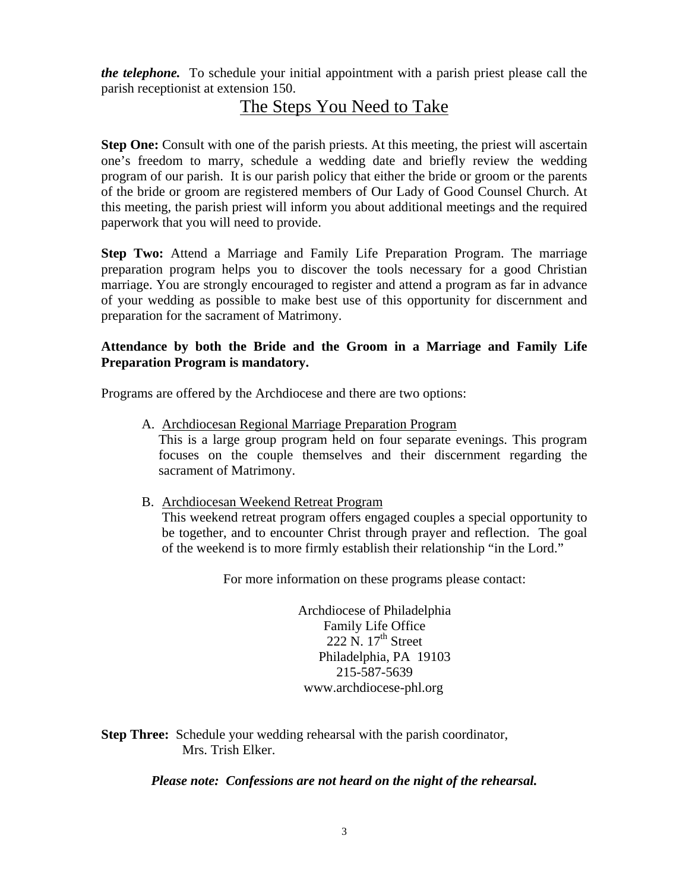*the telephone.* To schedule your initial appointment with a parish priest please call the parish receptionist at extension 150.

# The Steps You Need to Take

**Step One:** Consult with one of the parish priests. At this meeting, the priest will ascertain one's freedom to marry, schedule a wedding date and briefly review the wedding program of our parish. It is our parish policy that either the bride or groom or the parents of the bride or groom are registered members of Our Lady of Good Counsel Church. At this meeting, the parish priest will inform you about additional meetings and the required paperwork that you will need to provide.

**Step Two:** Attend a Marriage and Family Life Preparation Program. The marriage preparation program helps you to discover the tools necessary for a good Christian marriage. You are strongly encouraged to register and attend a program as far in advance of your wedding as possible to make best use of this opportunity for discernment and preparation for the sacrament of Matrimony.

## **Attendance by both the Bride and the Groom in a Marriage and Family Life Preparation Program is mandatory.**

Programs are offered by the Archdiocese and there are two options:

- A. Archdiocesan Regional Marriage Preparation Program This is a large group program held on four separate evenings. This program focuses on the couple themselves and their discernment regarding the sacrament of Matrimony.
- B. Archdiocesan Weekend Retreat Program This weekend retreat program offers engaged couples a special opportunity to be together, and to encounter Christ through prayer and reflection. The goal of the weekend is to more firmly establish their relationship "in the Lord."

For more information on these programs please contact:

Archdiocese of Philadelphia Family Life Office  $222$  N.  $17<sup>th</sup>$  Street Philadelphia, PA 19103 215-587-5639 www.archdiocese-phl.org

**Step Three:** Schedule your wedding rehearsal with the parish coordinator, Mrs. Trish Elker.

*Please note: Confessions are not heard on the night of the rehearsal.*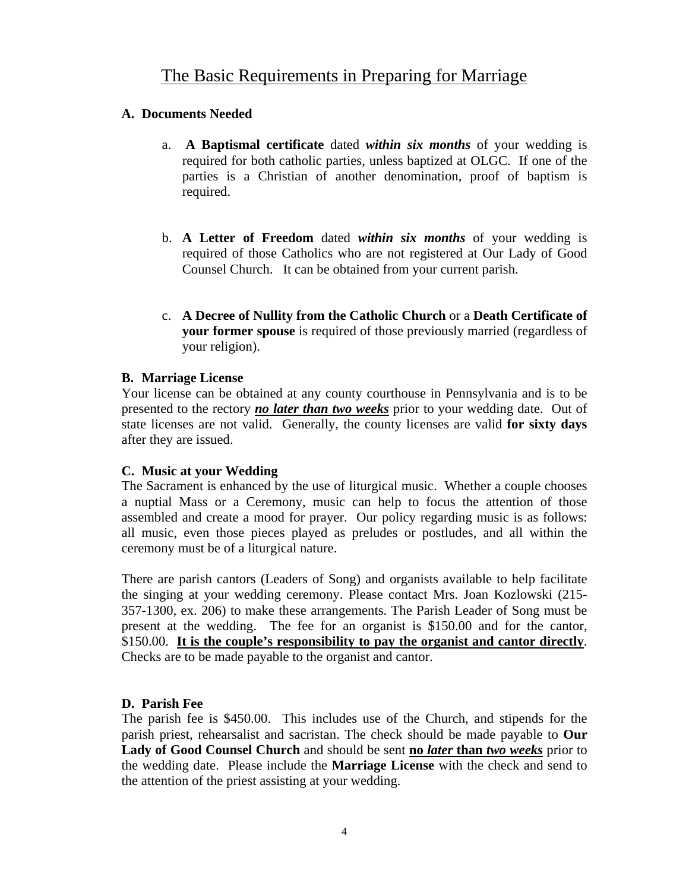# **A. Documents Needed**

- a. **A Baptismal certificate** dated *within six months* of your wedding is required for both catholic parties, unless baptized at OLGC. If one of the parties is a Christian of another denomination, proof of baptism is required.
- b. **A Letter of Freedom** dated *within six months* of your wedding is required of those Catholics who are not registered at Our Lady of Good Counsel Church. It can be obtained from your current parish.
- c. **A Decree of Nullity from the Catholic Church** or a **Death Certificate of your former spouse** is required of those previously married (regardless of your religion).

## **B. Marriage License**

Your license can be obtained at any county courthouse in Pennsylvania and is to be presented to the rectory *no later than two weeks* prior to your wedding date. Out of state licenses are not valid. Generally, the county licenses are valid **for sixty days** after they are issued.

## **C. Music at your Wedding**

The Sacrament is enhanced by the use of liturgical music. Whether a couple chooses a nuptial Mass or a Ceremony, music can help to focus the attention of those assembled and create a mood for prayer. Our policy regarding music is as follows: all music, even those pieces played as preludes or postludes, and all within the ceremony must be of a liturgical nature.

There are parish cantors (Leaders of Song) and organists available to help facilitate the singing at your wedding ceremony. Please contact Mrs. Joan Kozlowski (215- 357-1300, ex. 206) to make these arrangements. The Parish Leader of Song must be present at the wedding. The fee for an organist is \$150.00 and for the cantor, \$150.00. **It is the couple's responsibility to pay the organist and cantor directly**. Checks are to be made payable to the organist and cantor.

## **D. Parish Fee**

The parish fee is \$450.00. This includes use of the Church, and stipends for the parish priest, rehearsalist and sacristan. The check should be made payable to **Our Lady of Good Counsel Church** and should be sent **no** *later* **than** *two weeks* prior to the wedding date. Please include the **Marriage License** with the check and send to the attention of the priest assisting at your wedding.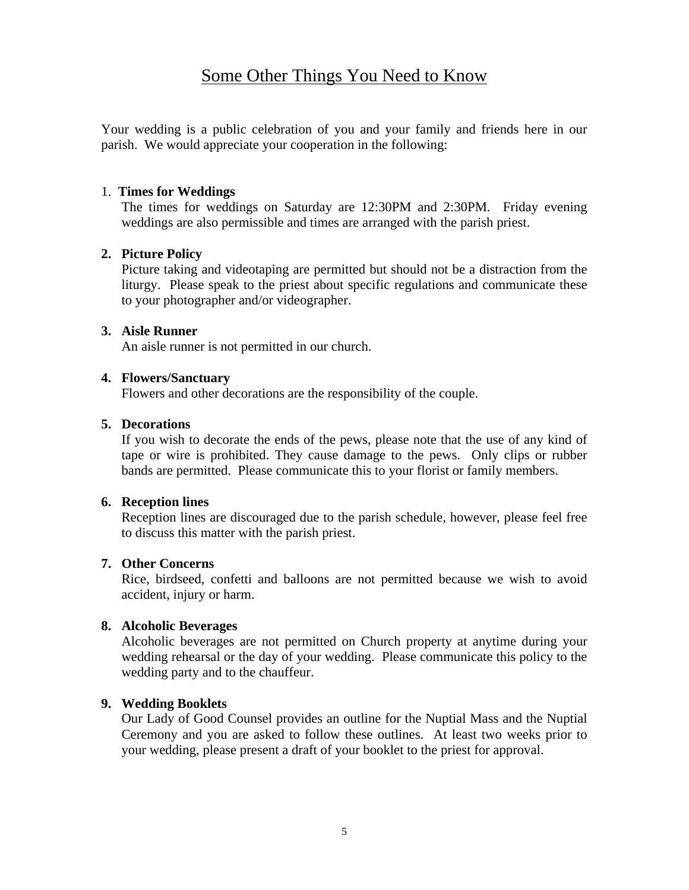# Some Other Things You Need to Know

Your wedding is a public celebration of you and your family and friends here in our parish. We would appreciate your cooperation in the following:

#### 1. **Times for Weddings**

 The times for weddings on Saturday are 12:30PM and 2:30PM. Friday evening weddings are also permissible and times are arranged with the parish priest.

### **2. Picture Policy**

Picture taking and videotaping are permitted but should not be a distraction from the liturgy. Please speak to the priest about specific regulations and communicate these to your photographer and/or videographer.

### **3. Aisle Runner**

An aisle runner is not permitted in our church.

#### **4. Flowers/Sanctuary**

Flowers and other decorations are the responsibility of the couple.

#### **5. Decorations**

If you wish to decorate the ends of the pews, please note that the use of any kind of tape or wire is prohibited. They cause damage to the pews. Only clips or rubber bands are permitted. Please communicate this to your florist or family members.

#### **6. Reception lines**

Reception lines are discouraged due to the parish schedule, however, please feel free to discuss this matter with the parish priest.

### **7. Other Concerns**

Rice, birdseed, confetti and balloons are not permitted because we wish to avoid accident, injury or harm.

## **8. Alcoholic Beverages**

Alcoholic beverages are not permitted on Church property at anytime during your wedding rehearsal or the day of your wedding. Please communicate this policy to the wedding party and to the chauffeur.

#### **9. Wedding Booklets**

Our Lady of Good Counsel provides an outline for the Nuptial Mass and the Nuptial Ceremony and you are asked to follow these outlines. At least two weeks prior to your wedding, please present a draft of your booklet to the priest for approval.